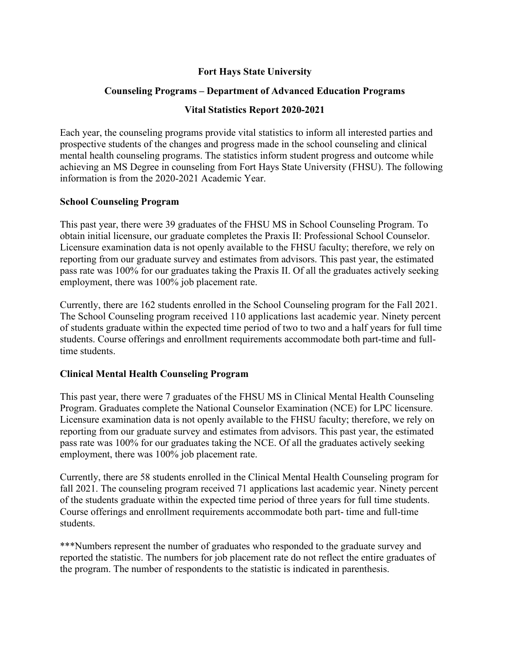# **Fort Hays State University**

## **Counseling Programs – Department of Advanced Education Programs**

## **Vital Statistics Report 2020-2021**

Each year, the counseling programs provide vital statistics to inform all interested parties and prospective students of the changes and progress made in the school counseling and clinical mental health counseling programs. The statistics inform student progress and outcome while achieving an MS Degree in counseling from Fort Hays State University (FHSU). The following information is from the 2020-2021 Academic Year.

#### **School Counseling Program**

This past year, there were 39 graduates of the FHSU MS in School Counseling Program. To obtain initial licensure, our graduate completes the Praxis II: Professional School Counselor. Licensure examination data is not openly available to the FHSU faculty; therefore, we rely on reporting from our graduate survey and estimates from advisors. This past year, the estimated pass rate was 100% for our graduates taking the Praxis II. Of all the graduates actively seeking employment, there was 100% job placement rate.

Currently, there are 162 students enrolled in the School Counseling program for the Fall 2021. The School Counseling program received 110 applications last academic year. Ninety percent of students graduate within the expected time period of two to two and a half years for full time students. Course offerings and enrollment requirements accommodate both part-time and fulltime students.

## **Clinical Mental Health Counseling Program**

This past year, there were 7 graduates of the FHSU MS in Clinical Mental Health Counseling Program. Graduates complete the National Counselor Examination (NCE) for LPC licensure. Licensure examination data is not openly available to the FHSU faculty; therefore, we rely on reporting from our graduate survey and estimates from advisors. This past year, the estimated pass rate was 100% for our graduates taking the NCE. Of all the graduates actively seeking employment, there was 100% job placement rate.

Currently, there are 58 students enrolled in the Clinical Mental Health Counseling program for fall 2021. The counseling program received 71 applications last academic year. Ninety percent of the students graduate within the expected time period of three years for full time students. Course offerings and enrollment requirements accommodate both part- time and full-time students.

\*\*\*Numbers represent the number of graduates who responded to the graduate survey and reported the statistic. The numbers for job placement rate do not reflect the entire graduates of the program. The number of respondents to the statistic is indicated in parenthesis.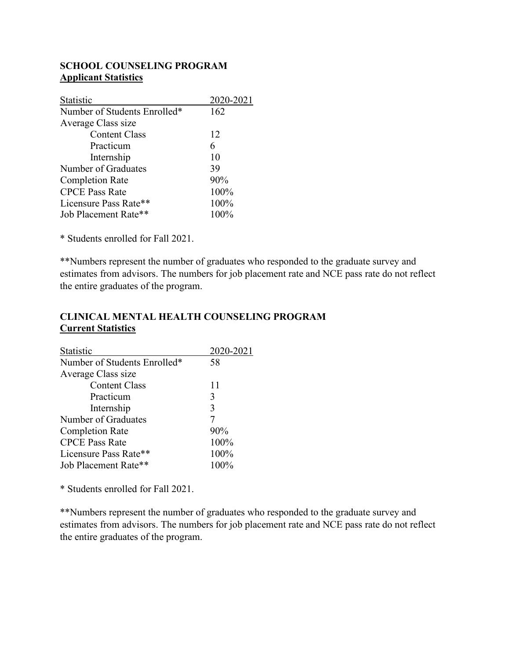#### **SCHOOL COUNSELING PROGRAM Applicant Statistics**

| 2020-2021 |
|-----------|
| 162       |
|           |
| 12        |
| 6         |
| 10        |
| 39        |
| 90%       |
| 100%      |
| 100%      |
| 100%      |
|           |

\* Students enrolled for Fall 2021.

\*\*Numbers represent the number of graduates who responded to the graduate survey and estimates from advisors. The numbers for job placement rate and NCE pass rate do not reflect the entire graduates of the program.

#### **CLINICAL MENTAL HEALTH COUNSELING PROGRAM Current Statistics**

| Statistic                    | 2020-2021 |
|------------------------------|-----------|
| Number of Students Enrolled* | 58        |
| Average Class size           |           |
| <b>Content Class</b>         | 11        |
| Practicum                    | 3         |
| Internship                   | 3         |
| Number of Graduates          | 7         |
| <b>Completion Rate</b>       | 90%       |
| <b>CPCE Pass Rate</b>        | 100%      |
| Licensure Pass Rate**        | 100%      |
| Job Placement Rate**         | 100%      |

\* Students enrolled for Fall 2021.

\*\*Numbers represent the number of graduates who responded to the graduate survey and estimates from advisors. The numbers for job placement rate and NCE pass rate do not reflect the entire graduates of the program.